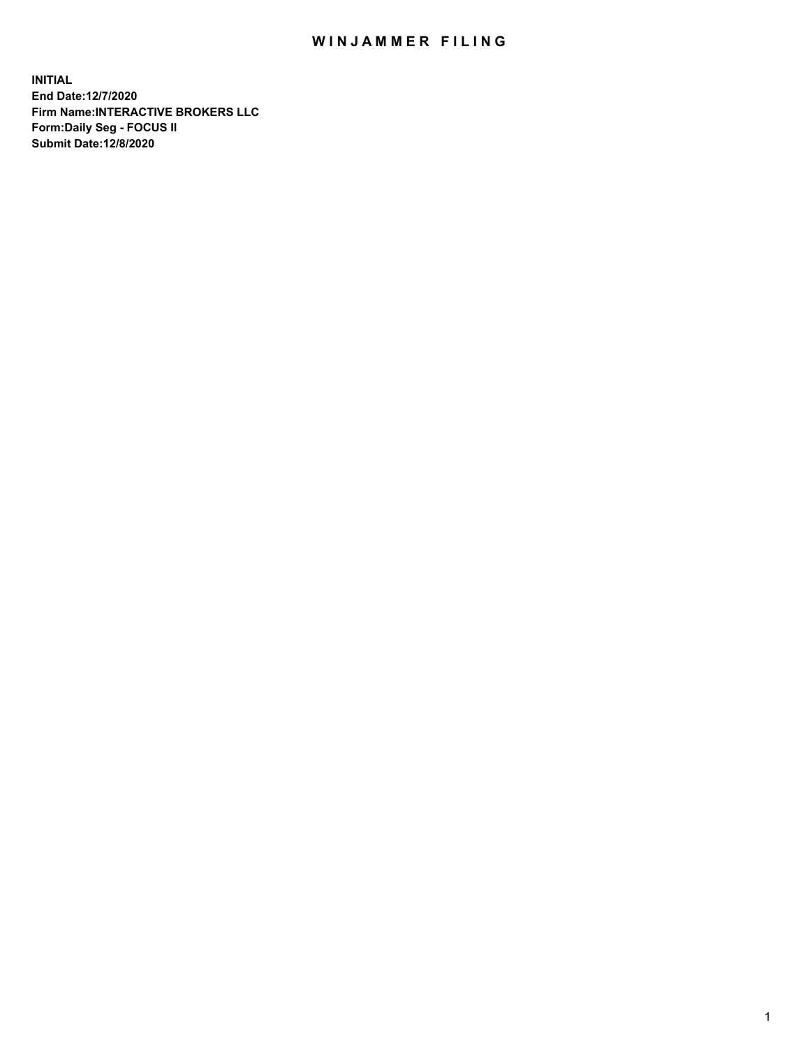## WIN JAMMER FILING

**INITIAL End Date:12/7/2020 Firm Name:INTERACTIVE BROKERS LLC Form:Daily Seg - FOCUS II Submit Date:12/8/2020**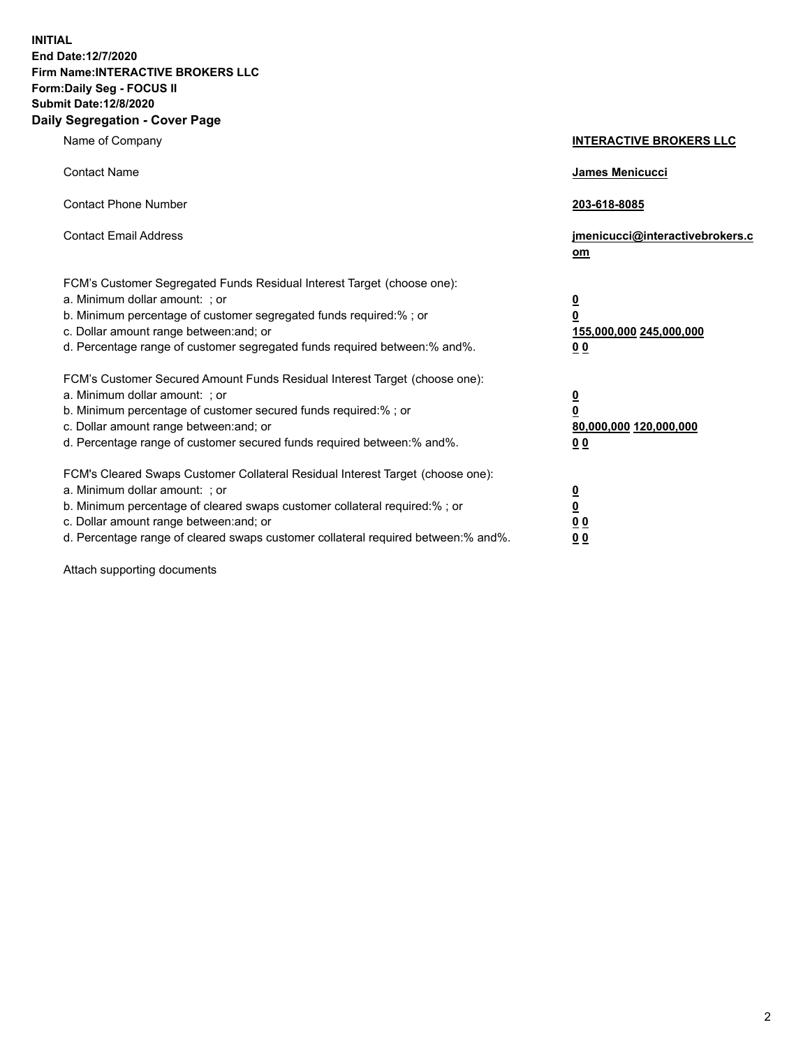**INITIAL End Date:12/7/2020 Firm Name:INTERACTIVE BROKERS LLC Form:Daily Seg - FOCUS II Submit Date:12/8/2020 Daily Segregation - Cover Page**

| Name of Company                                                                                                                                                                                                                                                                                                               | <b>INTERACTIVE BROKERS LLC</b>                                                                  |  |
|-------------------------------------------------------------------------------------------------------------------------------------------------------------------------------------------------------------------------------------------------------------------------------------------------------------------------------|-------------------------------------------------------------------------------------------------|--|
| <b>Contact Name</b>                                                                                                                                                                                                                                                                                                           | James Menicucci                                                                                 |  |
| <b>Contact Phone Number</b>                                                                                                                                                                                                                                                                                                   | 203-618-8085                                                                                    |  |
| <b>Contact Email Address</b>                                                                                                                                                                                                                                                                                                  | jmenicucci@interactivebrokers.c<br><u>om</u>                                                    |  |
| FCM's Customer Segregated Funds Residual Interest Target (choose one):<br>a. Minimum dollar amount: ; or<br>b. Minimum percentage of customer segregated funds required:% ; or<br>c. Dollar amount range between: and; or<br>d. Percentage range of customer segregated funds required between:% and%.                        | $\overline{\mathbf{0}}$<br>$\overline{\mathbf{0}}$<br>155,000,000 245,000,000<br>0 <sub>0</sub> |  |
| FCM's Customer Secured Amount Funds Residual Interest Target (choose one):<br>a. Minimum dollar amount: ; or<br>b. Minimum percentage of customer secured funds required:%; or<br>c. Dollar amount range between: and; or<br>d. Percentage range of customer secured funds required between:% and%.                           | $\overline{\mathbf{0}}$<br>$\overline{\mathbf{0}}$<br>80,000,000 120,000,000<br>0 <sub>0</sub>  |  |
| FCM's Cleared Swaps Customer Collateral Residual Interest Target (choose one):<br>a. Minimum dollar amount: ; or<br>b. Minimum percentage of cleared swaps customer collateral required:%; or<br>c. Dollar amount range between: and; or<br>d. Percentage range of cleared swaps customer collateral required between:% and%. | $\overline{\mathbf{0}}$<br>$\overline{\mathbf{0}}$<br>0 <sub>0</sub><br>0 <sub>0</sub>          |  |

Attach supporting documents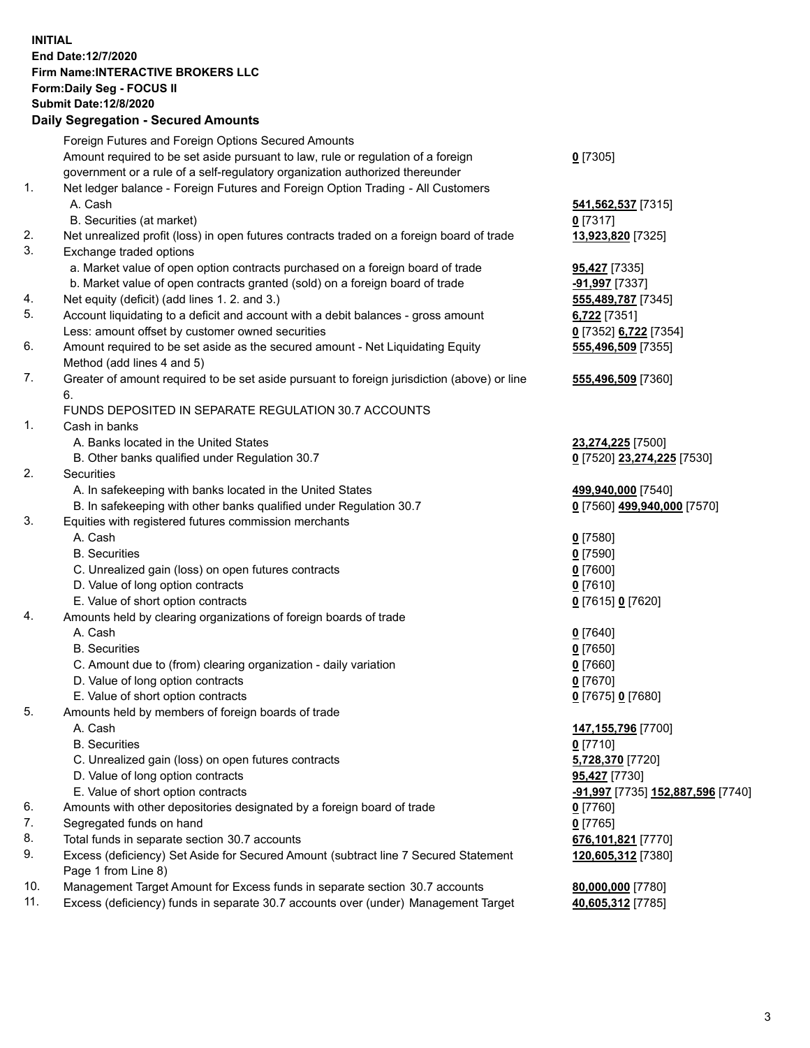**INITIAL End Date:12/7/2020 Firm Name:INTERACTIVE BROKERS LLC Form:Daily Seg - FOCUS II Submit Date:12/8/2020 Daily Segregation - Secured Amounts**

## Foreign Futures and Foreign Options Secured Amounts Amount required to be set aside pursuant to law, rule or regulation of a foreign government or a rule of a self-regulatory organization authorized thereunder **0** [7305] 1. Net ledger balance - Foreign Futures and Foreign Option Trading - All Customers A. Cash **541,562,537** [7315] B. Securities (at market) **0** [7317] 2. Net unrealized profit (loss) in open futures contracts traded on a foreign board of trade **13,923,820** [7325] 3. Exchange traded options a. Market value of open option contracts purchased on a foreign board of trade **95,427** [7335] b. Market value of open contracts granted (sold) on a foreign board of trade **-91,997** [7337] 4. Net equity (deficit) (add lines 1. 2. and 3.) **555,489,787** [7345] 5. Account liquidating to a deficit and account with a debit balances - gross amount **6,722** [7351] Less: amount offset by customer owned securities **0** [7352] **6,722** [7354] 6. Amount required to be set aside as the secured amount - Net Liquidating Equity Method (add lines 4 and 5) **555,496,509** [7355] 7. Greater of amount required to be set aside pursuant to foreign jurisdiction (above) or line 6. **555,496,509** [7360] FUNDS DEPOSITED IN SEPARATE REGULATION 30.7 ACCOUNTS 1. Cash in banks A. Banks located in the United States **23,274,225** [7500] B. Other banks qualified under Regulation 30.7 **0** [7520] **23,274,225** [7530] 2. Securities A. In safekeeping with banks located in the United States **499,940,000** [7540] B. In safekeeping with other banks qualified under Regulation 30.7 **0** [7560] **499,940,000** [7570] 3. Equities with registered futures commission merchants A. Cash **0** [7580] B. Securities **0** [7590] C. Unrealized gain (loss) on open futures contracts **0** [7600] D. Value of long option contracts **0** [7610] E. Value of short option contracts **0** [7615] **0** [7620] 4. Amounts held by clearing organizations of foreign boards of trade A. Cash **0** [7640] B. Securities **0** [7650] C. Amount due to (from) clearing organization - daily variation **0** [7660] D. Value of long option contracts **0** [7670] E. Value of short option contracts **0** [7675] **0** [7680] 5. Amounts held by members of foreign boards of trade A. Cash **147,155,796** [7700] B. Securities **0** [7710] C. Unrealized gain (loss) on open futures contracts **5,728,370** [7720] D. Value of long option contracts **95,427** [7730] E. Value of short option contracts **-91,997** [7735] **152,887,596** [7740] 6. Amounts with other depositories designated by a foreign board of trade **0** [7760] 7. Segregated funds on hand **0** [7765] 8. Total funds in separate section 30.7 accounts **676,101,821** [7770] 9. Excess (deficiency) Set Aside for Secured Amount (subtract line 7 Secured Statement Page 1 from Line 8) **120,605,312** [7380] 10. Management Target Amount for Excess funds in separate section 30.7 accounts **80,000,000** [7780] 11. Excess (deficiency) funds in separate 30.7 accounts over (under) Management Target **40,605,312** [7785]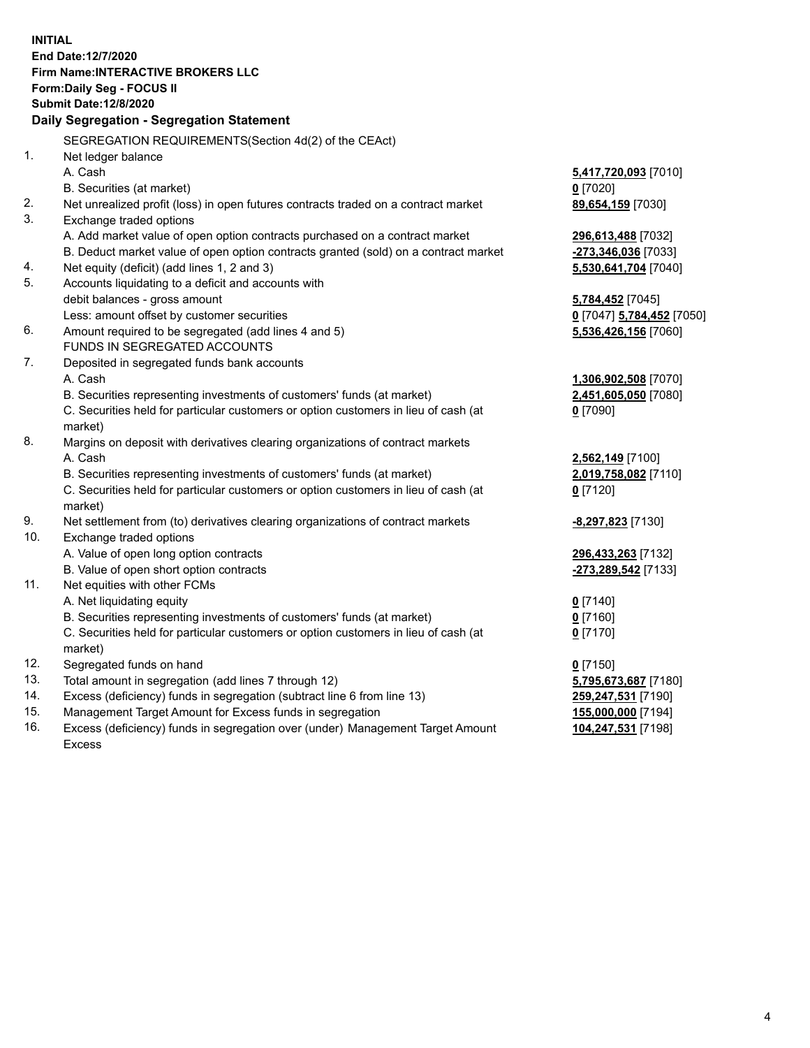**INITIAL End Date:12/7/2020 Firm Name:INTERACTIVE BROKERS LLC Form:Daily Seg - FOCUS II Submit Date:12/8/2020 Daily Segregation - Segregation Statement** SEGREGATION REQUIREMENTS(Section 4d(2) of the CEAct) 1. Net ledger balance A. Cash **5,417,720,093** [7010] B. Securities (at market) **0** [7020] 2. Net unrealized profit (loss) in open futures contracts traded on a contract market **89,654,159** [7030] 3. Exchange traded options A. Add market value of open option contracts purchased on a contract market **296,613,488** [7032] B. Deduct market value of open option contracts granted (sold) on a contract market **-273,346,036** [7033] 4. Net equity (deficit) (add lines 1, 2 and 3) **5,530,641,704** [7040] 5. Accounts liquidating to a deficit and accounts with debit balances - gross amount **5,784,452** [7045] Less: amount offset by customer securities **0** [7047] **5,784,452** [7050] 6. Amount required to be segregated (add lines 4 and 5) **5,536,426,156** [7060] FUNDS IN SEGREGATED ACCOUNTS 7. Deposited in segregated funds bank accounts A. Cash **1,306,902,508** [7070] B. Securities representing investments of customers' funds (at market) **2,451,605,050** [7080] C. Securities held for particular customers or option customers in lieu of cash (at market) **0** [7090] 8. Margins on deposit with derivatives clearing organizations of contract markets A. Cash **2,562,149** [7100] B. Securities representing investments of customers' funds (at market) **2,019,758,082** [7110] C. Securities held for particular customers or option customers in lieu of cash (at market) **0** [7120] 9. Net settlement from (to) derivatives clearing organizations of contract markets **-8,297,823** [7130] 10. Exchange traded options A. Value of open long option contracts **296,433,263** [7132] B. Value of open short option contracts **-273,289,542** [7133] 11. Net equities with other FCMs A. Net liquidating equity **0** [7140] B. Securities representing investments of customers' funds (at market) **0** [7160] C. Securities held for particular customers or option customers in lieu of cash (at market) **0** [7170] 12. Segregated funds on hand **0** [7150] 13. Total amount in segregation (add lines 7 through 12) **5,795,673,687** [7180] 14. Excess (deficiency) funds in segregation (subtract line 6 from line 13) **259,247,531** [7190] 15. Management Target Amount for Excess funds in segregation **155,000,000** [7194] 16. Excess (deficiency) funds in segregation over (under) Management Target Amount **104,247,531** [7198]

Excess